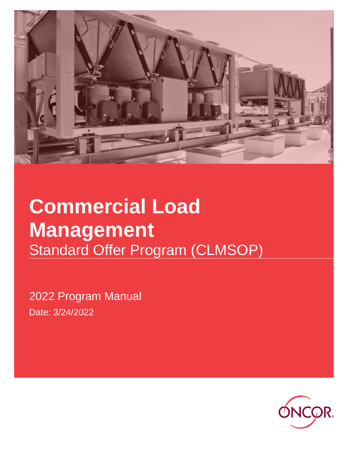

# **Commercial Load Management** Standard Offer Program (CLMSOP)

2022 Program Manual Date: 3/24/2022

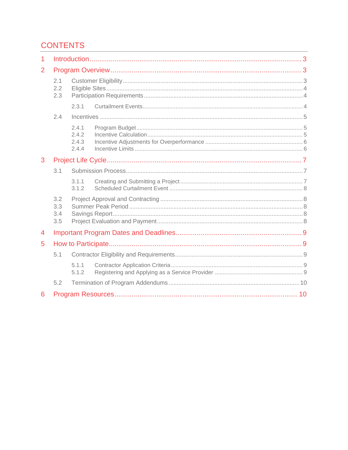# **CONTENTS**

| 1 |                          |                                  |  |  |  |
|---|--------------------------|----------------------------------|--|--|--|
| 2 |                          |                                  |  |  |  |
|   | 2.1<br>2.2<br>2.3        |                                  |  |  |  |
|   |                          | 2.3.1                            |  |  |  |
|   | 2.4                      |                                  |  |  |  |
|   |                          | 2.4.1<br>2.4.2<br>2.4.3<br>2.4.4 |  |  |  |
| 3 |                          |                                  |  |  |  |
|   | 3.1                      |                                  |  |  |  |
|   |                          | 3.1.1<br>3.1.2                   |  |  |  |
|   | 3.2<br>3.3<br>3.4<br>3.5 |                                  |  |  |  |
| 4 |                          |                                  |  |  |  |
| 5 |                          |                                  |  |  |  |
|   | 5.1                      |                                  |  |  |  |
|   |                          | 5.1.1<br>5.1.2                   |  |  |  |
|   | 5.2                      |                                  |  |  |  |
| 6 |                          |                                  |  |  |  |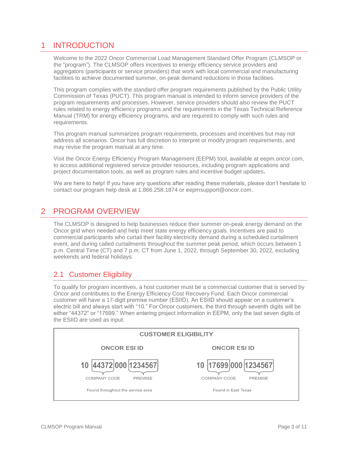# <span id="page-2-0"></span>1 INTRODUCTION

Welcome to the 2022 Oncor Commercial Load Management Standard Offer Program (CLMSOP or the "program"). The CLMSOP offers incentives to energy efficiency service providers and aggregators (participants or service providers) that work with local commercial and manufacturing facilities to achieve documented summer, on-peak demand reductions in those facilities.

This program complies with the standard offer program requirements published by the Public Utility Commission of Texas (PUCT). This program manual is intended to inform service providers of the program requirements and processes. However, service providers should also review the PUCT rules related to energy efficiency programs and the requirements in the Texas Technical Reference Manual (TRM) for energy efficiency programs, and are required to comply with such rules and requirements.

This program manual summarizes program requirements, processes and incentives but may not address all scenarios. Oncor has full discretion to interpret or modify program requirements, and may revise the program manual at any time.

Visit the Oncor Energy Efficiency Program Management (EEPM) tool, available at eepm.oncor.com, to access additional registered service provider resources, including program applications and project documentation tools, as well as program rules and incentive budget updates**.** 

We are here to help! If you have any questions after reading these materials, please don't hesitate to contact our program help desk at 1.866.258.1874 or eepmsupport@oncor.com.

## <span id="page-2-1"></span>2 PROGRAM OVERVIEW

The CLMSOP is designed to help businesses reduce their summer on-peak energy demand on the Oncor grid when needed and help meet state energy efficiency goals. Incentives are paid to commercial participants who curtail their facility electricity demand during a scheduled curtailment event, and during called curtailments throughout the summer peak period, which occurs between 1 p.m. Central Time (CT) and 7 p.m. CT from June 1, 2022, through September 30, 2022, excluding weekends and federal holidays.

## <span id="page-2-2"></span>2.1 Customer Eligibility

To qualify for program incentives, a host customer must be a commercial customer that is served by Oncor and contributes to the Energy Efficiency Cost Recovery Fund. Each Oncor commercial customer will have a 17-digit premise number (ESIID). An ESIID should appear on a customer's electric bill and always start with "10." For Oncor customers, the third through seventh digits will be either "44372" or "17699." When entering project information in EEPM, only the last seven digits of the ESIID are used as input.

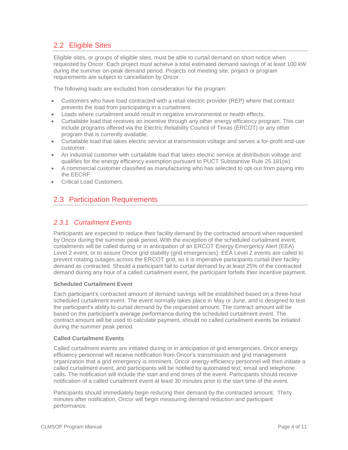## <span id="page-3-0"></span>2.2 Eligible Sites

Eligible sites, or groups of eligible sites, must be able to curtail demand on short notice when requested by Oncor. Each project must achieve a total estimated demand savings of at least 100 kW during the summer on-peak demand period. Projects not meeting site, project or program requirements are subject to cancellation by Oncor.

The following loads are excluded from consideration for the program:

- Customers who have load contracted with a retail electric provider (REP) where that contract prevents the load from participating in a curtailment.
- Loads where curtailment would result in negative environmental or health effects.
- Curtailable load that receives an incentive through any other energy efficiency program. This can include programs offered via the Electric Reliability Council of Texas (ERCOT) or any other program that is currently available.
- Curtailable load that takes electric service at transmission voltage and serves a for-profit end-use customer.
- An industrial customer with curtailable load that takes electric service at distribution voltage and qualifies for the energy efficiency exemption pursuant to PUCT Substantive Rule 25.181(w).
- A commercial customer classified as manufacturing who has selected to opt-out from paying into the EECRF.
- Critical Load Customers.

## <span id="page-3-1"></span>2.3 Participation Requirements

#### <span id="page-3-2"></span>*2.3.1 Curtailment Events*

Participants are expected to reduce their facility demand by the contracted amount when requested by Oncor during the summer peak period. With the exception of the scheduled curtailment event, curtailments will be called during or in anticipation of an ERCOT Energy Emergency Alert (EEA) Level 2 event, or to assure Oncor grid stability (grid emergencies). EEA Level 2 events are called to prevent rotating outages across the ERCOT grid, so it is imperative participants curtail their facility demand as contracted. Should a participant fail to curtail demand by at least 25% of the contracted demand during any hour of a called curtailment event, the participant forfeits their incentive payment.

#### **Scheduled Curtailment Event**

Each participant's contracted amount of demand savings will be established based on a three-hour scheduled curtailment event. The event normally takes place in May or June, and is designed to test the participant's ability to curtail demand by the requested amount. The contract amount will be based on the participant's average performance during the scheduled curtailment event. The contract amount will be used to calculate payment, should no called curtailment events be initiated during the summer peak period.

#### **Called Curtailment Events**

Called curtailment events are initiated during or in anticipation of grid emergencies. Oncor energy efficiency personnel will receive notification from Oncor's transmission and grid management organization that a grid emergency is imminent. Oncor energy efficiency personnel will then initiate a called curtailment event, and participants will be notified by automated text, email and telephone calls. The notification will include the start and end times of the event. Participants should receive notification of a called curtailment event at least 30 minutes prior to the start time of the event.

Participants should immediately begin reducing their demand by the contracted amount. Thirty minutes after notification, Oncor will begin measuring demand reduction and participant performance.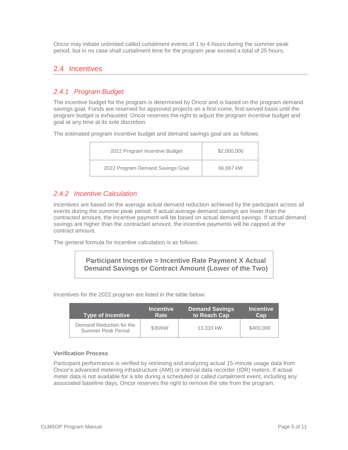Oncor may initiate unlimited called curtailment events of 1 to 4 hours during the summer peak period, but in no case shall curtailment time for the program year exceed a total of 25 hours.

#### <span id="page-4-0"></span>2.4 Incentives

#### <span id="page-4-1"></span>*2.4.1 Program Budget*

The incentive budget for the program is determined by Oncor and is based on the program demand savings goal. Funds are reserved for approved projects on a first-come, first-served basis until the program budget is exhausted. Oncor reserves the right to adjust the program incentive budget and goal at any time at its sole discretion.

The estimated program incentive budget and demand savings goal are as follows:

| 2022 Program Incentive Budget    | \$2,000,000 |
|----------------------------------|-------------|
| 2022 Program Demand Savings Goal | 66,667 kW   |

#### <span id="page-4-2"></span>*2.4.2 Incentive Calculation*

Incentives are based on the average actual demand reduction achieved by the participant across all events during the summer peak period. If actual average demand savings are lower than the contracted amount, the incentive payment will be based on actual demand savings. If actual demand savings are higher than the contracted amount, the incentive payments will be capped at the contract amount.

The general formula for incentive calculation is as follows:

#### **Participant Incentive = Incentive Rate Payment X Actual Demand Savings or Contract Amount (Lower of the Two)**

Incentives for the 2022 program are listed in the table below:

| <b>Type of Incentive</b>                       | <b>Incentive</b> | <b>Demand Savings</b> | <b>Incentive</b> |
|------------------------------------------------|------------------|-----------------------|------------------|
|                                                | Rate             | to Reach Cap          | Cap              |
| Demand Reduction for the<br>Summer Peak Period | \$30/kW          | 13.333 kW             | \$400,000        |

#### **Verification Process**

Participant performance is verified by retrieving and analyzing actual 15-minute usage data from Oncor's advanced metering infrastructure (AMI) or interval data recorder (IDR) meters. If actual meter data is not available for a site during a scheduled or called curtailment event, including any associated baseline days, Oncor reserves the right to remove the site from the program.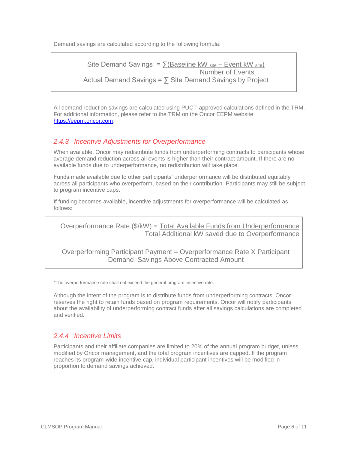Demand savings are calculated according to the following formula:

```
Site Demand Savings = \sum(Baseline kW site – Event kW site)
                                       Number of Events
Actual Demand Savings = \sum Site Demand Savings by Project
```
All demand reduction savings are calculated using PUCT-approved calculations defined in the TRM. For additional information, please refer to the TRM on the Oncor EEPM website [https://eepm.oncor.com.](https://eepm.oncor.com/)

#### <span id="page-5-0"></span>*2.4.3 Incentive Adjustments for Overperformance*

When available, Oncor may redistribute funds from underperforming contracts to participants whose average demand reduction across all events is higher than their contract amount. If there are no available funds due to underperformance, no redistribution will take place.

Funds made available due to other participants' underperformance will be distributed equitably across all participants who overperform, based on their contribution. Participants may still be subject to program incentive caps.

If funding becomes available, incentive adjustments for overperformance will be calculated as follows:

Overperformance Rate (\$/kW) = Total Available Funds from Underperformance Total Additional kW saved due to Overperformance

Overperforming Participant Payment = Overperformance Rate X Participant Demand Savings Above Contracted Amount

\*The overperformance rate shall not exceed the general program incentive rate.

Although the intent of the program is to distribute funds from underperforming contracts, Oncor reserves the right to retain funds based on program requirements. Oncor will notify participants about the availability of underperforming contract funds after all savings calculations are completed and verified.

#### <span id="page-5-1"></span>*2.4.4 Incentive Limits*

Participants and their affiliate companies are limited to 20% of the annual program budget, unless modified by Oncor management, and the total program incentives are capped. If the program reaches its program-wide incentive cap, individual participant incentives will be modified in proportion to demand savings achieved.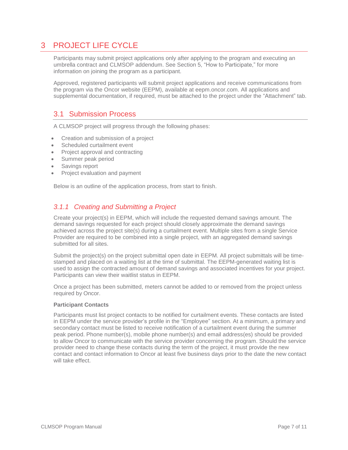# <span id="page-6-0"></span>3 PROJECT LIFE CYCLE

Participants may submit project applications only after applying to the program and executing an umbrella contract and CLMSOP addendum. See Section 5, "How to Participate," for more information on joining the program as a participant.

Approved, registered participants will submit project applications and receive communications from the program via the Oncor website (EEPM), available at eepm.oncor.com. All applications and supplemental documentation, if required, must be attached to the project under the "Attachment" tab.

## <span id="page-6-1"></span>3.1 Submission Process

A CLMSOP project will progress through the following phases:

- Creation and submission of a project
- Scheduled curtailment event
- Project approval and contracting
- Summer peak period
- Savings report
- Project evaluation and payment

Below is an outline of the application process, from start to finish.

#### <span id="page-6-2"></span>*3.1.1 Creating and Submitting a Project*

Create your project(s) in EEPM, which will include the requested demand savings amount. The demand savings requested for each project should closely approximate the demand savings achieved across the project site(s) during a curtailment event. Multiple sites from a single Service Provider are required to be combined into a single project, with an aggregated demand savings submitted for all sites.

Submit the project(s) on the project submittal open date in EEPM. All project submittals will be timestamped and placed on a waiting list at the time of submittal. The EEPM-generated waiting list is used to assign the contracted amount of demand savings and associated incentives for your project. Participants can view their waitlist status in EEPM.

Once a project has been submitted, meters cannot be added to or removed from the project unless required by Oncor.

#### **Participant Contacts**

Participants must list project contacts to be notified for curtailment events. These contacts are listed in EEPM under the service provider's profile in the "Employee" section. At a minimum, a primary and secondary contact must be listed to receive notification of a curtailment event during the summer peak period. Phone number(s), mobile phone number(s) and email address(es) should be provided to allow Oncor to communicate with the service provider concerning the program. Should the service provider need to change these contacts during the term of the project, it must provide the new contact and contact information to Oncor at least five business days prior to the date the new contact will take effect.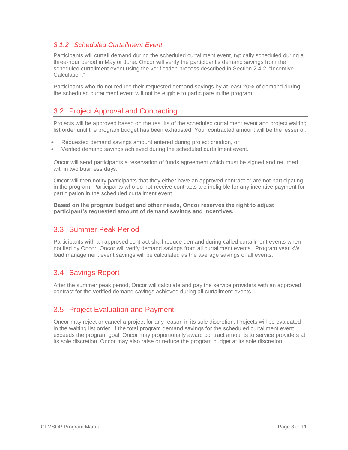#### <span id="page-7-0"></span>*3.1.2 Scheduled Curtailment Event*

Participants will curtail demand during the scheduled curtailment event, typically scheduled during a three-hour period in May or June. Oncor will verify the participant's demand savings from the scheduled curtailment event using the verification process described in Section 2.4.2, "Incentive Calculation."

Participants who do not reduce their requested demand savings by at least 20% of demand during the scheduled curtailment event will not be eligible to participate in the program.

## <span id="page-7-1"></span>3.2 Project Approval and Contracting

Projects will be approved based on the results of the scheduled curtailment event and project waiting list order until the program budget has been exhausted. Your contracted amount will be the lesser of:

- Requested demand savings amount entered during project creation, or
- Verified demand savings achieved during the scheduled curtailment event.

Oncor will send participants a reservation of funds agreement which must be signed and returned within two business days.

Oncor will then notify participants that they either have an approved contract or are not participating in the program. Participants who do not receive contracts are ineligible for any incentive payment for participation in the scheduled curtailment event.

**Based on the program budget and other needs, Oncor reserves the right to adjust participant's requested amount of demand savings and incentives.**

## <span id="page-7-2"></span>3.3 Summer Peak Period

Participants with an approved contract shall reduce demand during called curtailment events when notified by Oncor. Oncor will verify demand savings from all curtailment events. Program year kW load management event savings will be calculated as the average savings of all events.

## <span id="page-7-3"></span>3.4 Savings Report

After the summer peak period, Oncor will calculate and pay the service providers with an approved contract for the verified demand savings achieved during all curtailment events.

## <span id="page-7-4"></span>3.5 Project Evaluation and Payment

Oncor may reject or cancel a project for any reason in its sole discretion. Projects will be evaluated in the waiting list order. If the total program demand savings for the scheduled curtailment event exceeds the program goal, Oncor may proportionally award contract amounts to service providers at its sole discretion. Oncor may also raise or reduce the program budget at its sole discretion.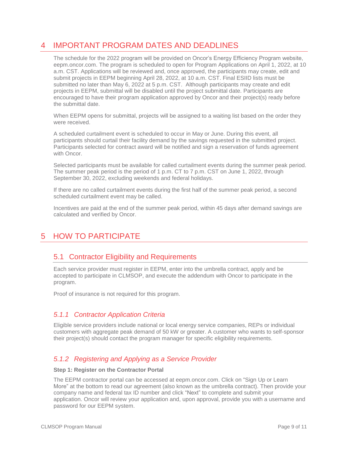# <span id="page-8-0"></span>4 IMPORTANT PROGRAM DATES AND DEADLINES

The schedule for the 2022 program will be provided on Oncor's Energy Efficiency Program website, eepm.oncor.com. The program is scheduled to open for Program Applications on April 1, 2022, at 10 a.m. CST. Applications will be reviewed and, once approved, the participants may create, edit and submit projects in EEPM beginning April 28, 2022, at 10 a.m. CST. Final ESIID lists must be submitted no later than May 6, 2022 at 5 p.m. CST. Although participants may create and edit projects in EEPM, submittal will be disabled until the project submittal date. Participants are encouraged to have their program application approved by Oncor and their project(s) ready before the submittal date.

When EEPM opens for submittal, projects will be assigned to a waiting list based on the order they were received.

A scheduled curtailment event is scheduled to occur in May or June. During this event, all participants should curtail their facility demand by the savings requested in the submitted project. Participants selected for contract award will be notified and sign a reservation of funds agreement with Oncor.

Selected participants must be available for called curtailment events during the summer peak period. The summer peak period is the period of 1 p.m. CT to 7 p.m. CST on June 1, 2022, through September 30, 2022, excluding weekends and federal holidays.

If there are no called curtailment events during the first half of the summer peak period, a second scheduled curtailment event may be called.

Incentives are paid at the end of the summer peak period, within 45 days after demand savings are calculated and verified by Oncor.

# <span id="page-8-2"></span><span id="page-8-1"></span>5 HOW TO PARTICIPATE

## 5.1 Contractor Eligibility and Requirements

Each service provider must register in EEPM, enter into the umbrella contract, apply and be accepted to participate in CLMSOP, and execute the addendum with Oncor to participate in the program.

Proof of insurance is not required for this program.

#### <span id="page-8-3"></span>*5.1.1 Contractor Application Criteria*

Eligible service providers include national or local energy service companies, REPs or individual customers with aggregate peak demand of 50 kW or greater. A customer who wants to self-sponsor their project(s) should contact the program manager for specific eligibility requirements.

#### <span id="page-8-4"></span>*5.1.2 Registering and Applying as a Service Provider*

#### **Step 1: Register on the Contractor Portal**

The EEPM contractor portal can be accessed at eepm.oncor.com. Click on "Sign Up or Learn More" at the bottom to read our agreement (also known as the umbrella contract). Then provide your company name and federal tax ID number and click "Next" to complete and submit your application. Oncor will review your application and, upon approval, provide you with a username and password for our EEPM system.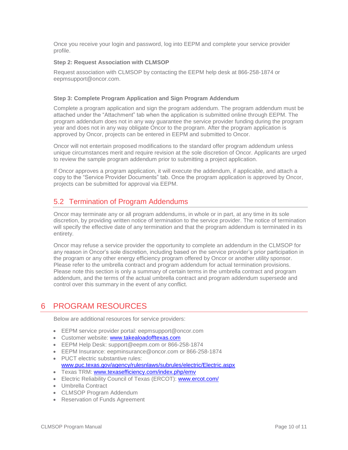Once you receive your login and password, log into EEPM and complete your service provider profile.

#### **Step 2: Request Association with CLMSOP**

Request association with CLMSOP by contacting the EEPM help desk at 866-258-1874 or eepmsupport@oncor.com.

#### **Step 3: Complete Program Application and Sign Program Addendum**

Complete a program application and sign the program addendum. The program addendum must be attached under the "Attachment" tab when the application is submitted online through EEPM. The program addendum does not in any way guarantee the service provider funding during the program year and does not in any way obligate Oncor to the program. After the program application is approved by Oncor, projects can be entered in EEPM and submitted to Oncor.

Oncor will not entertain proposed modifications to the standard offer program addendum unless unique circumstances merit and require revision at the sole discretion of Oncor. Applicants are urged to review the sample program addendum prior to submitting a project application.

If Oncor approves a program application, it will execute the addendum, if applicable, and attach a copy to the "Service Provider Documents" tab. Once the program application is approved by Oncor, projects can be submitted for approval via EEPM.

## <span id="page-9-0"></span>5.2 Termination of Program Addendums

Oncor may terminate any or all program addendums, in whole or in part, at any time in its sole discretion, by providing written notice of termination to the service provider. The notice of termination will specify the effective date of any termination and that the program addendum is terminated in its entirety.

Oncor may refuse a service provider the opportunity to complete an addendum in the CLMSOP for any reason in Oncor's sole discretion, including based on the service provider's prior participation in the program or any other energy efficiency program offered by Oncor or another utility sponsor. Please refer to the umbrella contract and program addendum for actual termination provisions. Please note this section is only a summary of certain terms in the umbrella contract and program addendum, and the terms of the actual umbrella contract and program addendum supersede and control over this summary in the event of any conflict.

# <span id="page-9-1"></span>6 PROGRAM RESOURCES

Below are additional resources for service providers:

- EEPM service provider portal: eepmsupport@oncor.com
- **Customer website: [www.takealoadofftexas.com](http://www.takealoadofftexas.com/)**
- EEPM Help Desk: [support@eepm.com](mailto:support@eepm.com) or 866-258-1874
- EEPM Insurance: [eepminsurance@oncor.com](mailto:eepminsurance@oncor.com) or 866-258-1874
- PUCT electric substantive rules: [www.puc.texas.gov/agency/rulesnlaws/subrules/electric/Electric.aspx](http://www.puc.texas.gov/agency/rulesnlaws/subrules/electric/Electric.aspx)
- Texas TRM: [www.texasefficiency.com/index.php/emv](http://www.texasefficiency.com/index.php/emv)
- Electric Reliability Council of Texas (ERCOT): [www.ercot.com/](http://www.ercot.com/)
- Umbrella Contract
- CLMSOP Program Addendum
- Reservation of Funds Agreement